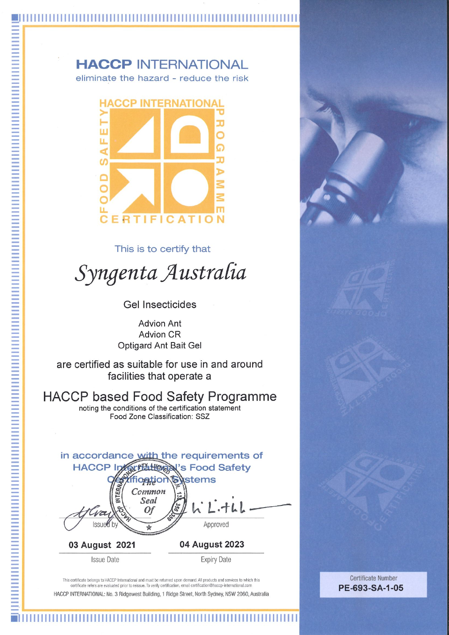### **HACCP INTERNATIONAL** eliminate the hazard - reduce the risk



This is to certify that

Syngenta Australia

**Gel Insecticides** 

**Advion Ant Advion CR Optigard Ant Bait Gel** 

are certified as suitable for use in and around facilities that operate a

**HACCP based Food Safety Programme** 

noting the conditions of the certification statement Food Zone Classification: SSZ



03 August 2021

**Issue Date** 

**Expiry Date** 

This certificate belongs to HACCP International and must be returned upon demand. All products and services to which this certificate refers are evaluated prior to reissue. To verify certification, email certification@haccp-international.com HACCP INTERNATIONAL: No. 3 Ridgewest Building, 1 Ridge Street, North Sydney, NSW 2060, Australia

**Certificate Number** PE-693-SA-1-05

#